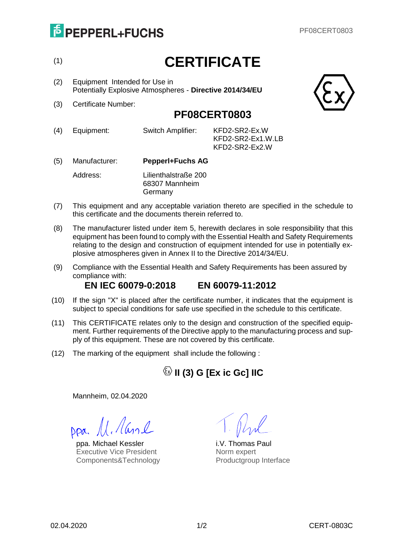# **E** PEPPERL+FUCHS

# (1) **CERTIFICATE**

- (2) Equipment Intended for Use in Potentially Explosive Atmospheres - **Directive 2014/34/EU**
- (3) Certificate Number:



#### **PF08CERT0803**

(4) Equipment: Switch Amplifier: KFD2-SR2-Ex.W

KFD2-SR2-Ex1.W.LB KFD2-SR2-Ex2.W

- (5) Manufacturer: **Pepperl+Fuchs AG** Address: Lilienthalstraße 200 68307 Mannheim Germany
- (7) This equipment and any acceptable variation thereto are specified in the schedule to this certificate and the documents therein referred to.
- (8) The manufacturer listed under item 5, herewith declares in sole responsibility that this equipment has been found to comply with the Essential Health and Safety Requirements relating to the design and construction of equipment intended for use in potentially explosive atmospheres given in Annex II to the Directive 2014/34/EU.
- (9) Compliance with the Essential Health and Safety Requirements has been assured by compliance with: **EN IEC 60079-0:2018 EN 60079-11:2012**
- (10) If the sign "X" is placed after the certificate number, it indicates that the equipment is subject to special conditions for safe use specified in the schedule to this certificate.
- (11) This CERTIFICATE relates only to the design and construction of the specified equipment. Further requirements of the Directive apply to the manufacturing process and supply of this equipment. These are not covered by this certificate.
- (12) The marking of the equipment shall include the following :

### **II (3) G [Ex ic Gc] IIC**

Mannheim, 02.04.2020

Dpa. M. Aanl

ppa. Michael Kessler i.V. Thomas Paul Executive Vice President Components&Technology

Norm expert Productgroup Interface